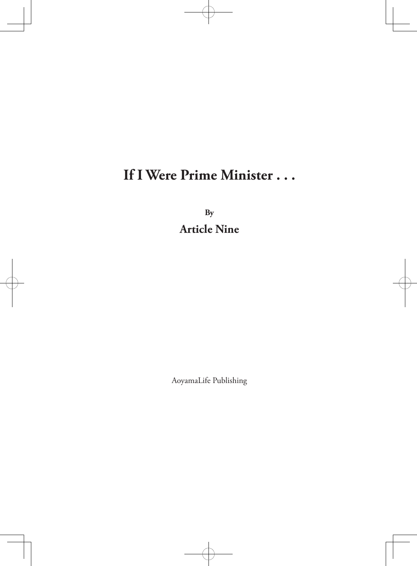# **If I Were Prime Minister . . .**

**By**

**Article Nine**

AoyamaLife Publishing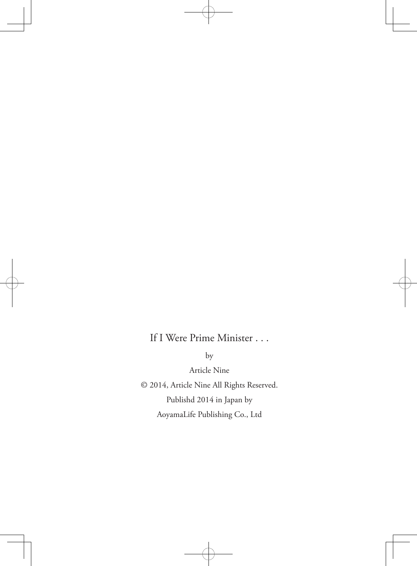## If I Were Prime Minister . . .

by

Article Nine

© 2014, Article Nine All Rights Reserved. Publishd 2014 in Japan by AoyamaLife Publishing Co., Ltd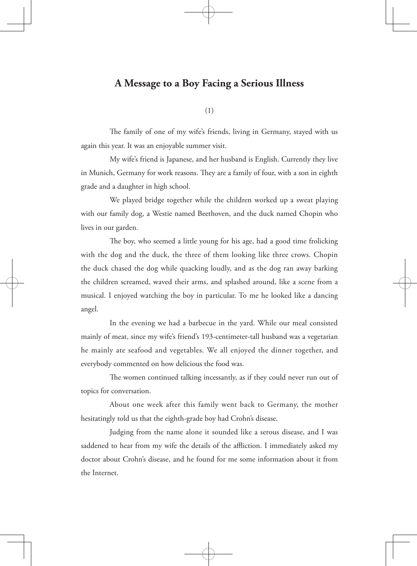## **A Message to a Boy Facing a Serious Illness**

(1)

The family of one of my wife's friends, living in Germany, stayed with us again this year. It was an enjoyable summer visit.

My wife's friend is Japanese, and her husband is English. Currently they live in Munich, Germany for work reasons. They are a family of four, with a son in eighth grade and a daughter in high school.

We played bridge together while the children worked up a sweat playing with our family dog, a Westie named Beethoven, and the duck named Chopin who lives in our garden.

The boy, who seemed a little young for his age, had a good time frolicking with the dog and the duck, the three of them looking like three crows. Chopin the duck chased the dog while quacking loudly, and as the dog ran away barking the children screamed, waved their arms, and splashed around, like a scene from a musical. I enjoyed watching the boy in particular. To me he looked like a dancing angel.

In the evening we had a barbecue in the yard. While our meal consisted mainly of meat, since my wife's friend's 193-centimeter-tall husband was a vegetarian he mainly ate seafood and vegetables. We all enjoyed the dinner together, and everybody commented on how delicious the food was.

The women continued talking incessantly, as if they could never run out of topics for conversation.

About one week after this family went back to Germany, the mother hesitatingly told us that the eighth-grade boy had Crohn's disease.

Judging from the name alone it sounded like a serous disease, and I was saddened to hear from my wife the details of the affliction. I immediately asked my doctor about Crohn's disease, and he found for me some information about it from the Internet.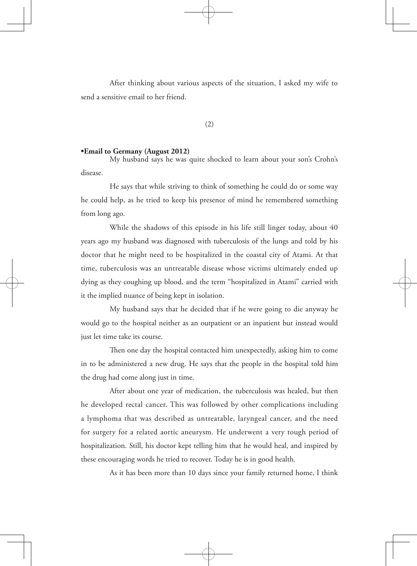After thinking about various aspects of the situation, I asked my wife to send a sensitive email to her friend.

 $(2)$ 

#### **•Email to Germany (August 2012)**

My husband says he was quite shocked to learn about your son's Crohn's disease.

He says that while striving to think of something he could do or some way he could help, as he tried to keep his presence of mind he remembered something from long ago.

While the shadows of this episode in his life still linger today, about 40 years ago my husband was diagnosed with tuberculosis of the lungs and told by his doctor that he might need to be hospitalized in the coastal city of Atami. At that time, tuberculosis was an untreatable disease whose victims ultimately ended up dying as they coughing up blood, and the term "hospitalized in Atami" carried with it the implied nuance of being kept in isolation.

My husband says that he decided that if he were going to die anyway he would go to the hospital neither as an outpatient or an inpatient but instead would just let time take its course.

Then one day the hospital contacted him unexpectedly, asking him to come in to be administered a new drug. He says that the people in the hospital told him the drug had come along just in time.

After about one year of medication, the tuberculosis was healed, but then he developed rectal cancer. This was followed by other complications including a lymphoma that was described as untreatable, laryngeal cancer, and the need for surgery for a related aortic aneurysm. He underwent a very tough period of hospitalization. Still, his doctor kept telling him that he would heal, and inspired by these encouraging words he tried to recover. Today he is in good health.

As it has been more than 10 days since your family returned home, I think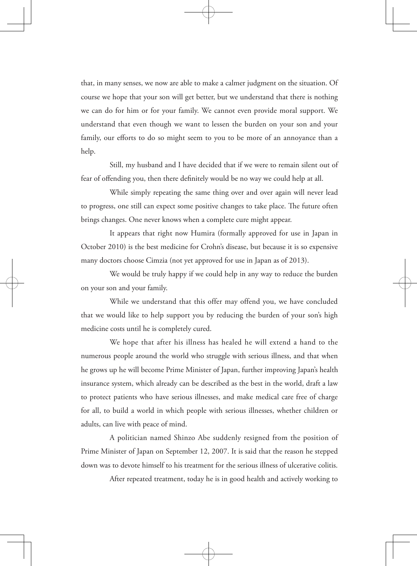that, in many senses, we now are able to make a calmer judgment on the situation. Of course we hope that your son will get better, but we understand that there is nothing we can do for him or for your family. We cannot even provide moral support. We understand that even though we want to lessen the burden on your son and your family, our efforts to do so might seem to you to be more of an annoyance than a help.

Still, my husband and I have decided that if we were to remain silent out of fear of offending you, then there definitely would be no way we could help at all.

While simply repeating the same thing over and over again will never lead to progress, one still can expect some positive changes to take place. The future often brings changes. One never knows when a complete cure might appear.

It appears that right now Humira (formally approved for use in Japan in October 2010) is the best medicine for Crohn's disease, but because it is so expensive many doctors choose Cimzia (not yet approved for use in Japan as of 2013).

We would be truly happy if we could help in any way to reduce the burden on your son and your family.

While we understand that this offer may offend you, we have concluded that we would like to help support you by reducing the burden of your son's high medicine costs until he is completely cured.

We hope that after his illness has healed he will extend a hand to the numerous people around the world who struggle with serious illness, and that when he grows up he will become Prime Minister of Japan, further improving Japan's health insurance system, which already can be described as the best in the world, draft a law to protect patients who have serious illnesses, and make medical care free of charge for all, to build a world in which people with serious illnesses, whether children or adults, can live with peace of mind.

A politician named Shinzo Abe suddenly resigned from the position of Prime Minister of Japan on September 12, 2007. It is said that the reason he stepped down was to devote himself to his treatment for the serious illness of ulcerative colitis.

After repeated treatment, today he is in good health and actively working to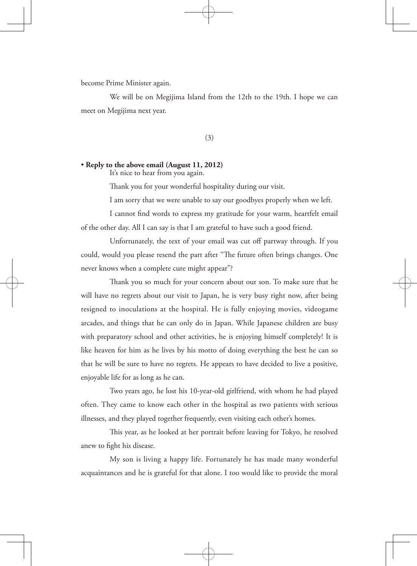become Prime Minister again.

We will be on Megijima Island from the 12th to the 19th. I hope we can meet on Megijima next year.

#### (3)

### • **Reply to the above email (August 11, 2012)**

It's nice to hear from you again.

Thank you for your wonderful hospitality during our visit.

I am sorry that we were unable to say our goodbyes properly when we left.

I cannot find words to express my gratitude for your warm, heartfelt email of the other day. All I can say is that I am grateful to have such a good friend.

Unfortunately, the text of your email was cut off partway through. If you could, would you please resend the part after "The future often brings changes. One never knows when a complete cure might appear"?

Thank you so much for your concern about our son. To make sure that he will have no regrets about our visit to Japan, he is very busy right now, after being resigned to inoculations at the hospital. He is fully enjoying movies, videogame arcades, and things that he can only do in Japan. While Japanese children are busy with preparatory school and other activities, he is enjoying himself completely! It is like heaven for him as he lives by his motto of doing everything the best he can so that he will be sure to have no regrets. He appears to have decided to live a positive, enjoyable life for as long as he can.

Two years ago, he lost his 10-year-old girlfriend, with whom he had played often. They came to know each other in the hospital as two patients with serious illnesses, and they played together frequently, even visiting each other's homes.

This year, as he looked at her portrait before leaving for Tokyo, he resolved anew to fight his disease.

My son is living a happy life. Fortunately he has made many wonderful acquaintances and he is grateful for that alone. I too would like to provide the moral